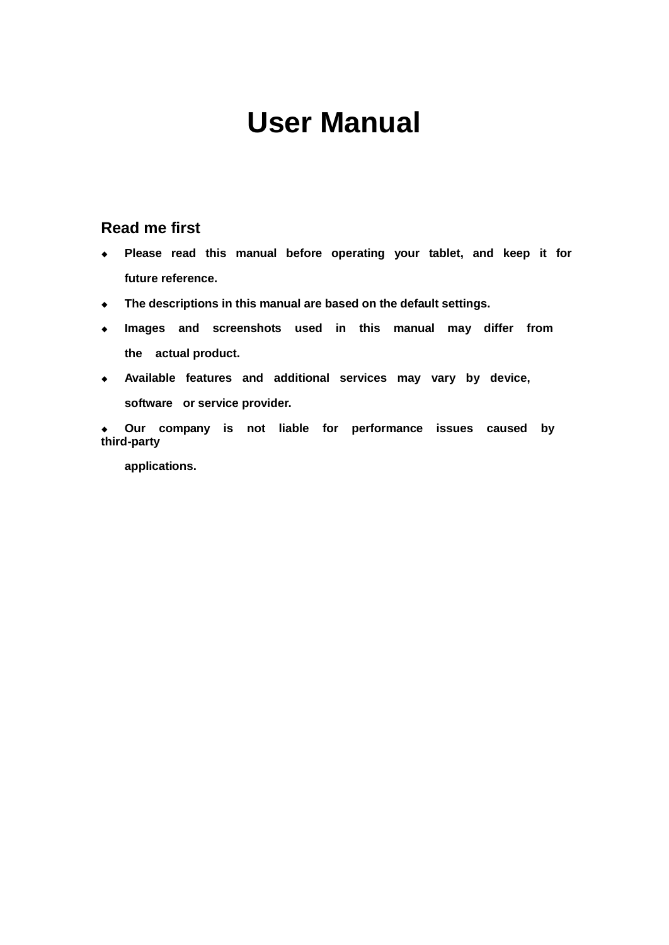# **User Manual**

# **Read me first**

- **Please read this manual before operating your tablet, and keep it for future reference.**
- **The descriptions in this manual are based on the default settings.**
- **Images and screenshots used in this manual may differ from the actual product.**
- **Available features and additional services may vary by device, software or service provider.**

 **Our company is not liable for performance issues caused by third-party**

**applications.**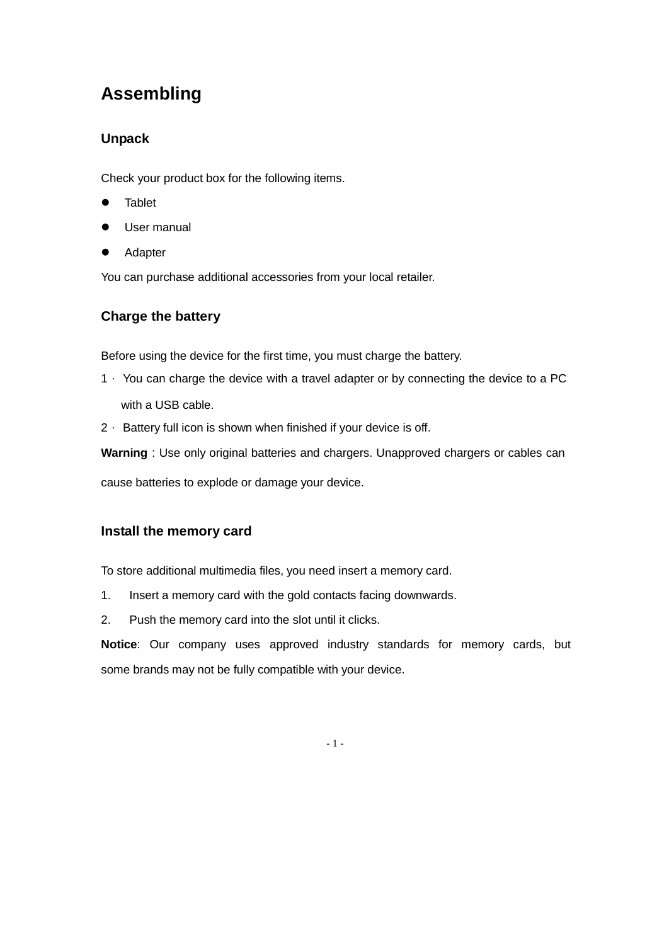# **Assembling**

# **Unpack**

Check your product box for the following items.

- **•** Tablet
- **•** User manual
- **•** Adapter

You can purchase additional accessories from your local retailer.

# **Charge the battery**

Before using the device for the first time, you must charge the battery.

- 1. You can charge the device with a travel adapter or by connecting the device to a PC with a USB cable.
- 2. Battery full icon is shown when finished if your device is off.

**Warning**: Use only original batteries and chargers. Unapproved chargers or cables can

cause batteries to explode or damage your device.

# **Install the memory card**

To store additional multimedia files, you need insert a memory card.

- 1. Insert a memory card with the gold contacts facing downwards.
- 2. Push the memory card into the slot until it clicks.

**Notice**: Our company uses approved industry standards for memory cards, but some brands may not be fully compatible with your device.

- 1 -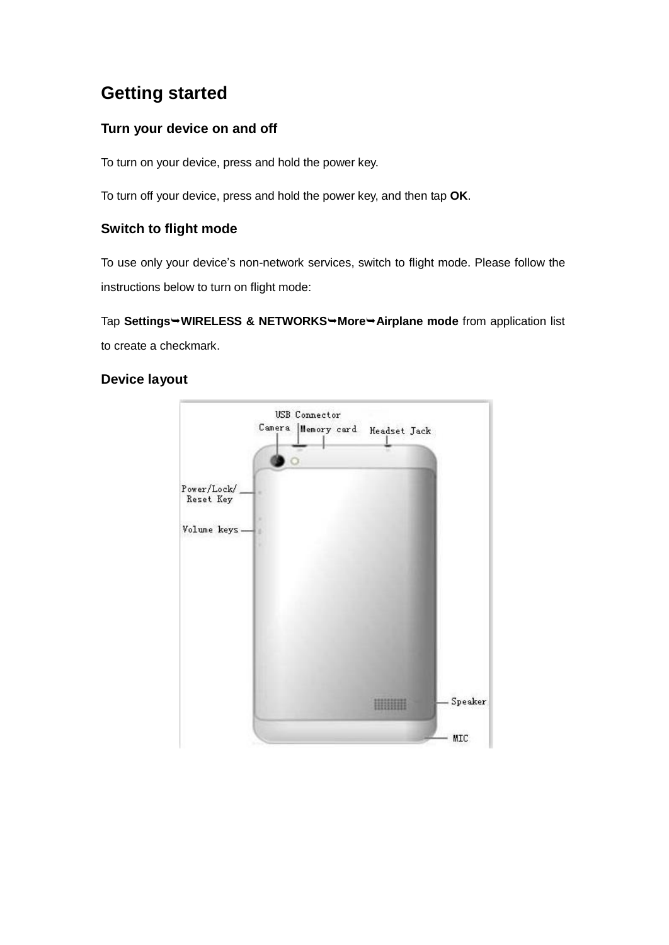# **Getting started**

# **Turn your device on and off**

To turn on your device, press and hold the power key.

To turn off your device, press and hold the power key, and then tap **OK**.

# **Switch to flight mode**

To use only your device's non-network services, switch to flight mode. Please follow the instructions below to turn on flight mode:

Tap **SettingsWIRELESS & NETWORKSMoreAirplane mode** from application list to create a checkmark.

#### **Device layout**

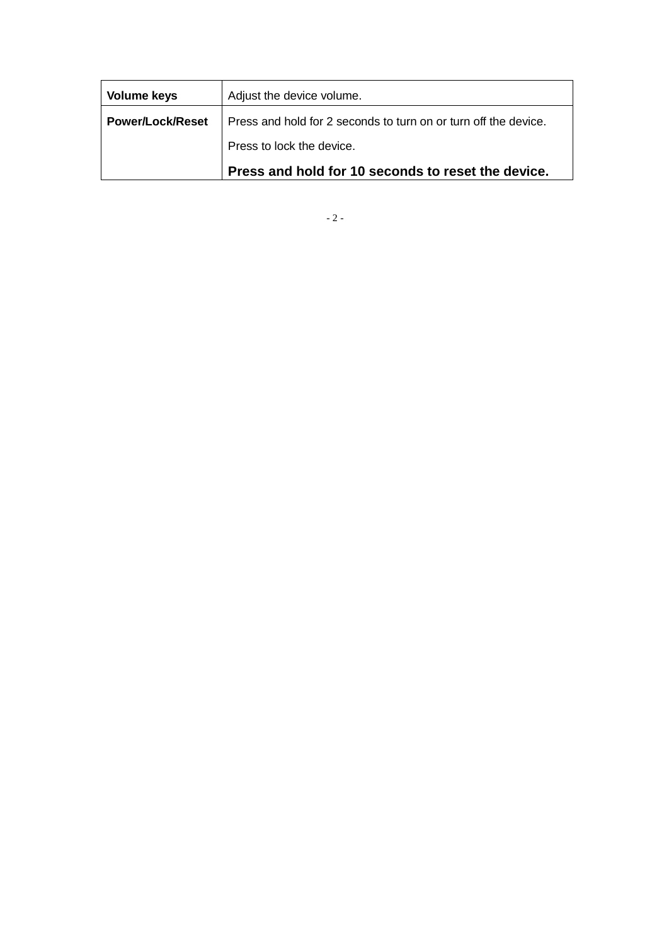| <b>Volume keys</b> | Adjust the device volume.                                       |
|--------------------|-----------------------------------------------------------------|
| ∣ Power/Lock/Reset | Press and hold for 2 seconds to turn on or turn off the device. |
|                    | Press to lock the device.                                       |
|                    | Press and hold for 10 seconds to reset the device.              |

- 2 -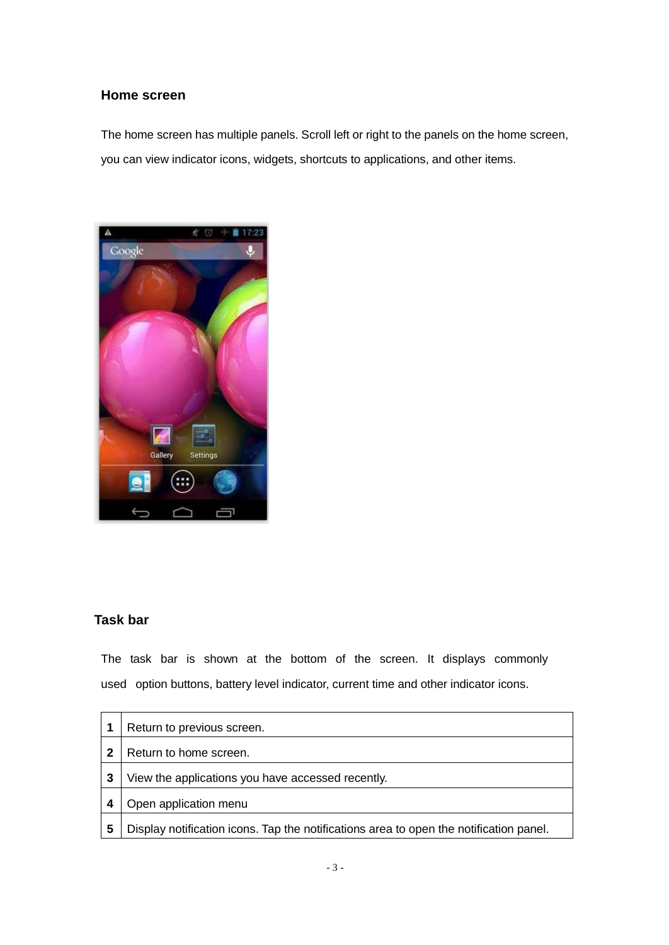#### **Home screen**

The home screen has multiple panels. Scroll left or right to the panels on the home screen, you can view indicator icons, widgets, shortcuts to applications, and other items.



#### **Task bar**

The task bar is shown at the bottom of the screen. It displays commonly used option buttons, battery level indicator, current time and other indicator icons.

|             | Return to previous screen.                                                             |
|-------------|----------------------------------------------------------------------------------------|
| $\mathbf 2$ | Return to home screen.                                                                 |
| 3           | View the applications you have accessed recently.                                      |
|             | Open application menu                                                                  |
| 5           | Display notification icons. Tap the notifications area to open the notification panel. |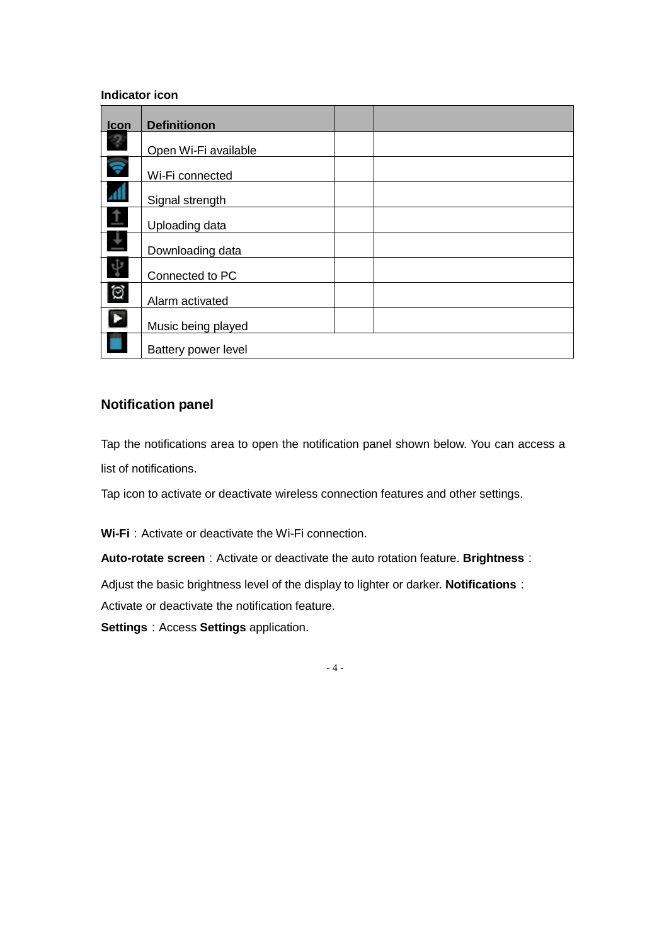#### **Indicator icon**

| Icon       | <b>Definitionon</b>  |  |
|------------|----------------------|--|
| 3          | Open Wi-Fi available |  |
| ę          | Wi-Fi connected      |  |
| ZЛ         | Signal strength      |  |
| $\uparrow$ | Uploading data       |  |
| $\pm$      | Downloading data     |  |
| ψ          | Connected to PC      |  |
| গ্ৰ        | Alarm activated      |  |
| D          | Music being played   |  |
|            | Battery power level  |  |

# **Notification panel**

Tap the notifications area to open the notification panel shown below. You can access a list of notifications.

Tap icon to activate or deactivate wireless connection features and other settings.

**Wi-Fi**: Activate or deactivate the Wi-Fi connection.

**Auto-rotate screen**: Activate or deactivate the auto rotation feature. Brightness:

Adjust the basic brightness level of the display to lighter or darker. **Notifications**:

Activate or deactivate the notification feature.

**Settings**: Access **Settings** application.

- 4 -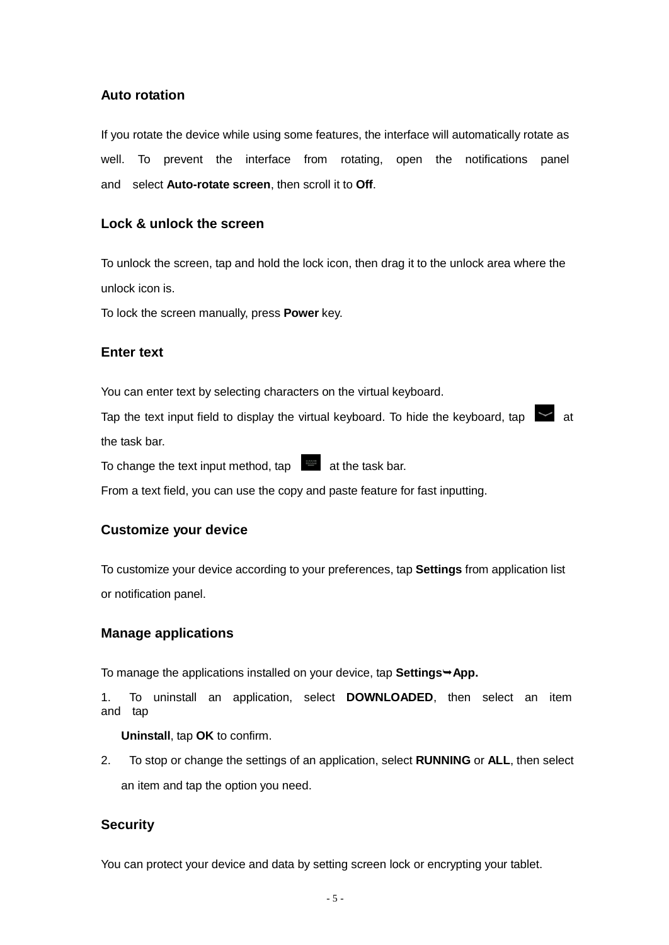#### **Auto rotation**

If you rotate the device while using some features, the interface will automatically rotate as well. To prevent the interface from rotating, open the notifications panel and select **Auto-rotate screen**, then scroll it to **Off**.

#### **Lock & unlock the screen**

To unlock the screen, tap and hold the lock icon, then drag it to the unlock area where the unlock icon is.

To lock the screen manually, press **Power** key.

#### **Enter text**

You can enter text by selecting characters on the virtual keyboard.

Tap the text input field to display the virtual keyboard. To hide the keyboard, tap  $\sim$  at the task bar.

To change the text input method,  $tan$  at the task bar.

From a text field, you can use the copy and paste feature for fast inputting.

#### **Customize your device**

To customize your device according to your preferences, tap **Settings** from application list or notification panel.

#### **Manage applications**

To manage the applications installed on your device, tap **Settings + App.** 

1. To uninstall an application, select **DOWNLOADED**, then select an item and tap

**Uninstall**, tap **OK** to confirm.

2. To stop or change the settings of an application, select **RUNNING** or **ALL**, then select an item and tap the option you need.

#### **Security**

You can protect your device and data by setting screen lock or encrypting your tablet.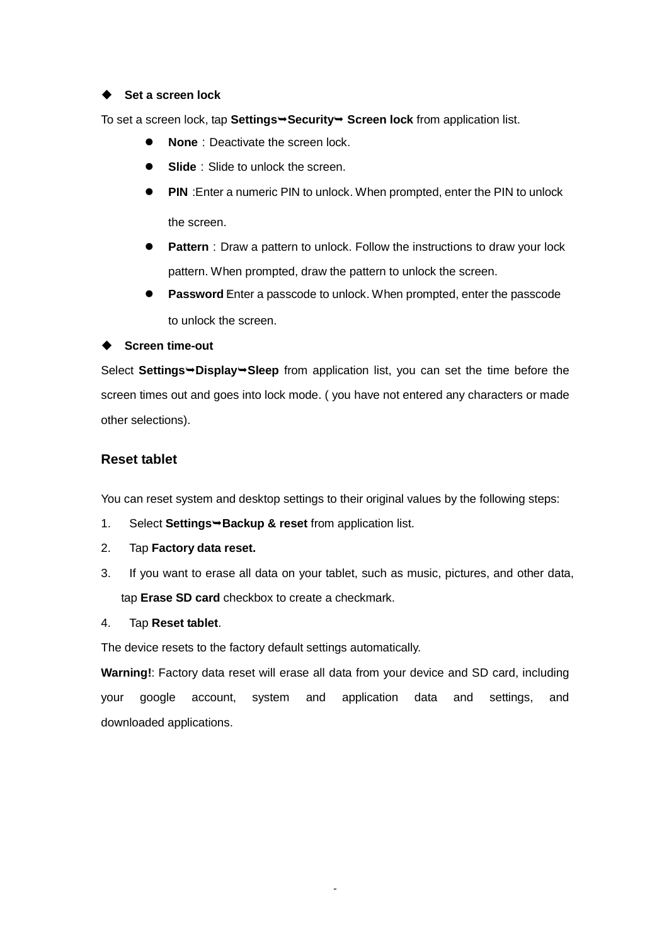#### **Set a screen lock**

To set a screen lock, tap Settings→Security→ Screen lock from application list.

- **None**: Deactivate the screen lock.
- **Slide**: Slide to unlock the screen.
- **PIN**: Enter a numeric PIN to unlock. When prompted, enter the PIN to unlock the screen.
- **Pattern**: Draw a pattern to unlock. Follow the instructions to draw your lock pattern. When prompted, draw the pattern to unlock the screen.
- **Password**: Enter a passcode to unlock. When prompted, enter the passcode to unlock the screen.

#### **←** Screen time-out

Select **SettingsDisplaySleep** from application list, you can set the time before the screen times out and goes into lock mode. ( you have not entered any characters or made other selections).

#### **Reset tablet**

You can reset system and desktop settings to their original values by the following steps:

- 1. Select **Settings Backup & reset** from application list.
- 2. Tap **Factory data reset.**
- 3. If you want to erase all data on your tablet, such as music, pictures, and other data, tap **Erase SD card** checkbox to create a checkmark.
- 4. Tap **Reset tablet**.

The device resets to the factory default settings automatically.

**Warning!**: Factory data reset will erase all data from your device and SD card, including your google account, system and application data and settings, and downloaded applications.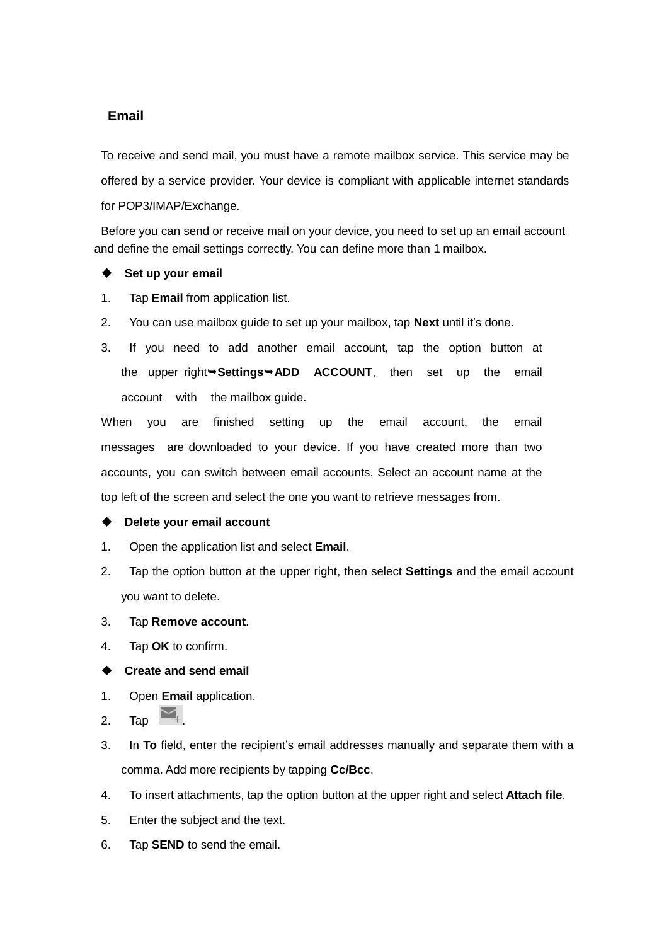#### **Email**

To receive and send mail, you must have a remote mailbox service. This service may be offered by a service provider. Your device is compliant with applicable internet standards for POP3/IMAP/Exchange.

Before you can send or receive mail on your device, you need to set up an email account and define the email settings correctly. You can define more than 1 mailbox.

#### ◆ Set up your email

- 1. Tap **Email** from application list.
- 2. You can use mailbox guide to set up your mailbox, tap **Next** until it's done.
- 3. If you need to add another email account, tap the option button at the upper right Settings ADD ACCOUNT, then set up the email account with the mailbox guide.

When you are finished setting up the email account, the email messages are downloaded to your device. If you have created more than two accounts, you can switch between email accounts. Select an account name at the top left of the screen and select the one you want to retrieve messages from.

#### **Delete your email account**

- 1. Open the application list and select **Email**.
- 2. Tap the option button at the upper right, then select **Settings** and the email account you want to delete.
- 3. Tap **Remove account**.
- 4. Tap **OK** to confirm.

#### **Create and send email**

- 1. Open **Email** application.
- 2. Tap  $\blacksquare$ .
- 3. In **To** field, enter the recipient's email addresses manually and separate them with a comma. Add more recipients by tapping **Cc/Bcc**.
- 4. To insert attachments, tap the option button at the upper right and select **Attach file**.
- 5. Enter the subject and the text.
- 6. Tap **SEND** to send the email.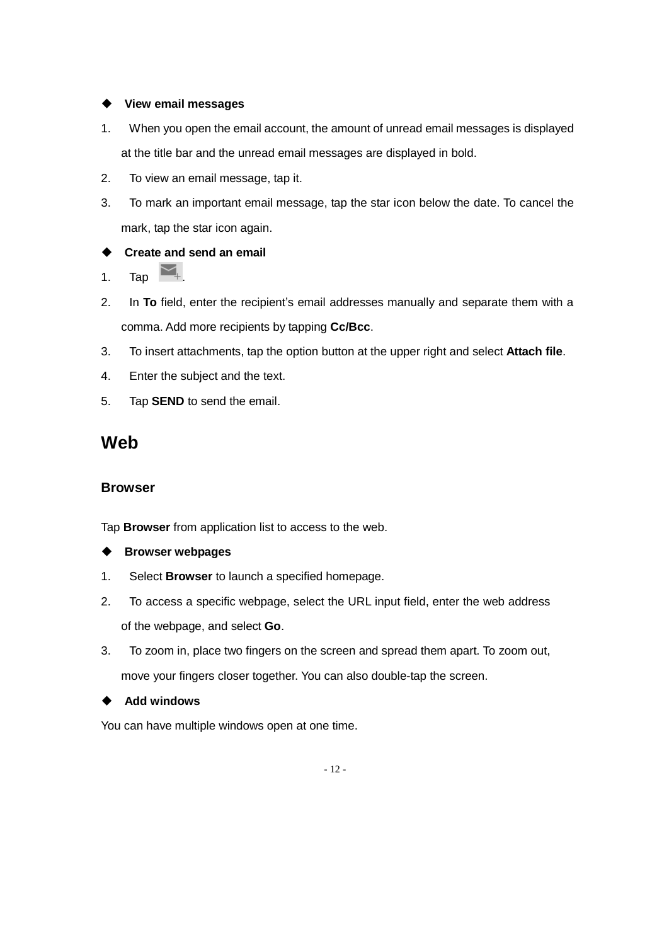#### **View email messages**

- 1. When you open the email account, the amount of unread email messages is displayed at the title bar and the unread email messages are displayed in bold.
- 2. To view an email message, tap it.
- 3. To mark an important email message, tap the star icon below the date. To cancel the mark, tap the star icon again.

### **Create and send an email**

1. Tap  $\Box$ .

- 2. In **To** field, enter the recipient's email addresses manually and separate them with a comma. Add more recipients by tapping **Cc/Bcc**.
- 3. To insert attachments, tap the option button at the upper right and select **Attach file**.
- 4. Enter the subject and the text.
- 5. Tap **SEND** to send the email.

# **Web**

#### **Browser**

Tap **Browser** from application list to access to the web.

#### **Browser webpages**

- 1. Select **Browser** to launch a specified homepage.
- 2. To access a specific webpage, select the URL input field, enter the web address of the webpage, and select **Go**.
- 3. To zoom in, place two fingers on the screen and spread them apart. To zoom out, move your fingers closer together. You can also double-tap the screen.

#### ◆ Add windows

You can have multiple windows open at one time.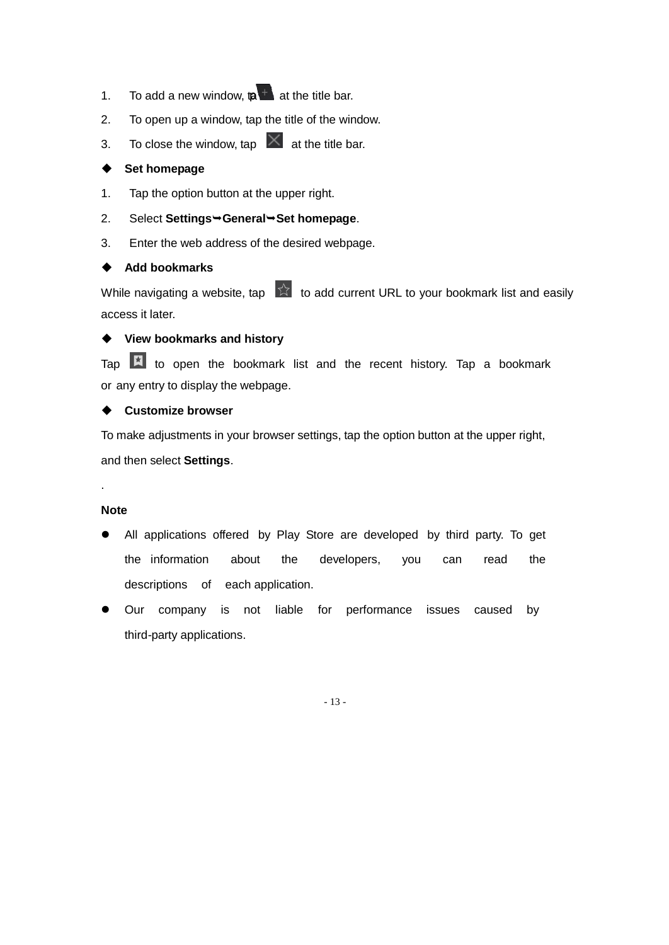- 1. To add a new window,  $\mathbf{a}$  at the title bar.
- 2. To open up a window, tap the title of the window.
- 3. To close the window, tap  $\vert X \vert$  at the title bar.

#### **Set homepage**

- 1. Tap the option button at the upper right.
- 2. Select Settings<sup>→</sup>General<sup>→</sup>Set homepage.
- 3. Enter the web address of the desired webpage.

#### **←** Add bookmarks

While navigating a website, tap  $\overrightarrow{A}$  to add current URL to your bookmark list and easily access it later.

### **View bookmarks and history**

Tap  $\overline{R}$  to open the bookmark list and the recent history. Tap a bookmark or any entry to display the webpage.

#### **Customize browser**

To make adjustments in your browser settings, tap the option button at the upper right, and then select **Settings**.

#### **Note**

.

- All applications offered by Play Store are developed by third party. To get the information about the developers, you can read the descriptions of each application.
- Our company is not liable for performance issues caused by third-party applications.

- 13 -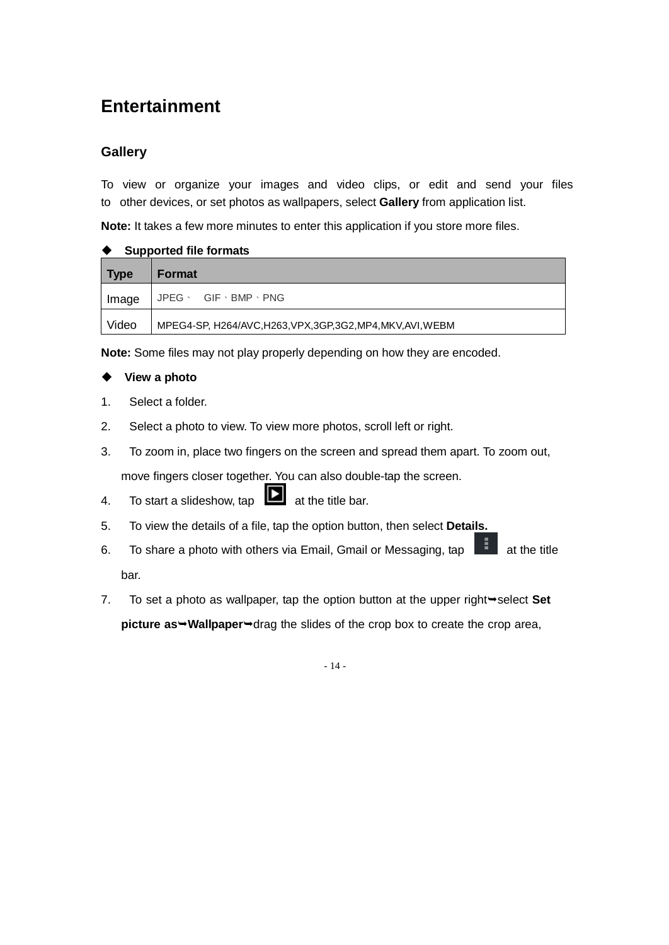# **Entertainment**

# **Gallery**

To view or organize your images and video clips, or edit and send your files to other devices, or set photos as wallpapers, select **Gallery** from application list.

**Note:** It takes a few more minutes to enter this application if you store more files.

| <b>Supported file formats</b> |                                                              |  |  |  |
|-------------------------------|--------------------------------------------------------------|--|--|--|
| <b>Type</b>                   | <b>Format</b>                                                |  |  |  |
| Image                         | $JPEG \cdot GIF \cdot BMP \cdot PNG$                         |  |  |  |
| Video                         | MPEG4-SP, H264/AVC, H263, VPX, 3GP, 3G2, MP4, MKV, AVI, WEBM |  |  |  |

**Note:** Some files may not play properly depending on how they are encoded.

#### **View a photo**

- 1. Select a folder.
- 2. Select a photo to view. To view more photos, scroll left or right.
- 3. To zoom in, place two fingers on the screen and spread them apart. To zoom out, move fingers closer together. You can also double-tap the screen.
- 4. To start a slideshow, tap  $\Box$  at the title bar.
- 5. To view the details of a file, tap the option button, then select **Details.**
- 6. To share a photo with others via Email, Gmail or Messaging, tap  $\Box$  at the title bar.
- 7. To set a photo as wallpaper, tap the option button at the upper right $\rightarrow$ select **Set picture as > Wallpaper** alreag the slides of the crop box to create the crop area,

- 14 -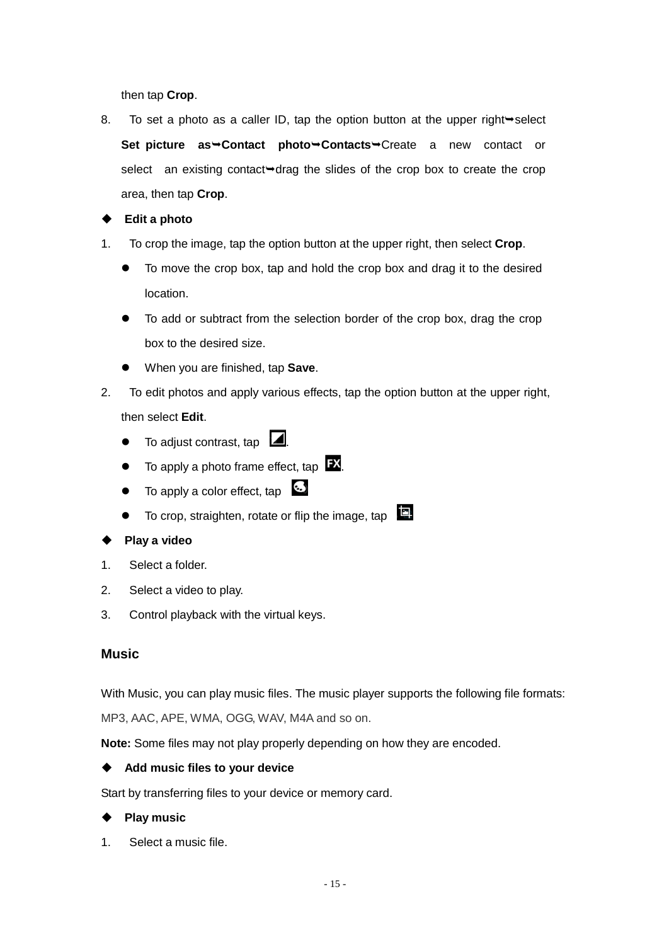then tap **Crop**.

8. To set a photo as a caller ID, tap the option button at the upper right  $\rightarrow$  select **Set picture as<sup>→</sup>Contact photo→Contacts→Create a new contact or** select an existing contact  $\rightarrow$  drag the slides of the crop box to create the crop area, then tap **Crop**.

**Edit a photo**

- 1. To crop the image, tap the option button at the upper right, then select **Crop**.
	- To move the crop box, tap and hold the crop box and drag it to the desired location.
	- To add or subtract from the selection border of the crop box, drag the crop box to the desired size.
	- When you are finished, tap **Save**.
- 2. To edit photos and apply various effects, tap the option button at the upper right, then select **Edit**.
	- $\bullet$  To adjust contrast, tap  $\Box$ .
	- $\bullet$  To apply a photo frame effect, tap  $\mathbf{FX}$ .
	- To apply a color effect, tap
	- To crop, straighten, rotate or flip the image, tap
- **Play a video**
- 1. Select a folder.
- 2. Select a video to play.
- 3. Control playback with the virtual keys.

#### **Music**

With Music, you can play music files. The music player supports the following file formats:

MP3, AAC, APE, WMA, OGG, WAV, M4A and so on.

**Note:** Some files may not play properly depending on how they are encoded.

#### **Add music files to your device**

Start by transferring files to your device or memory card.

#### **Play music**

1. Select a music file.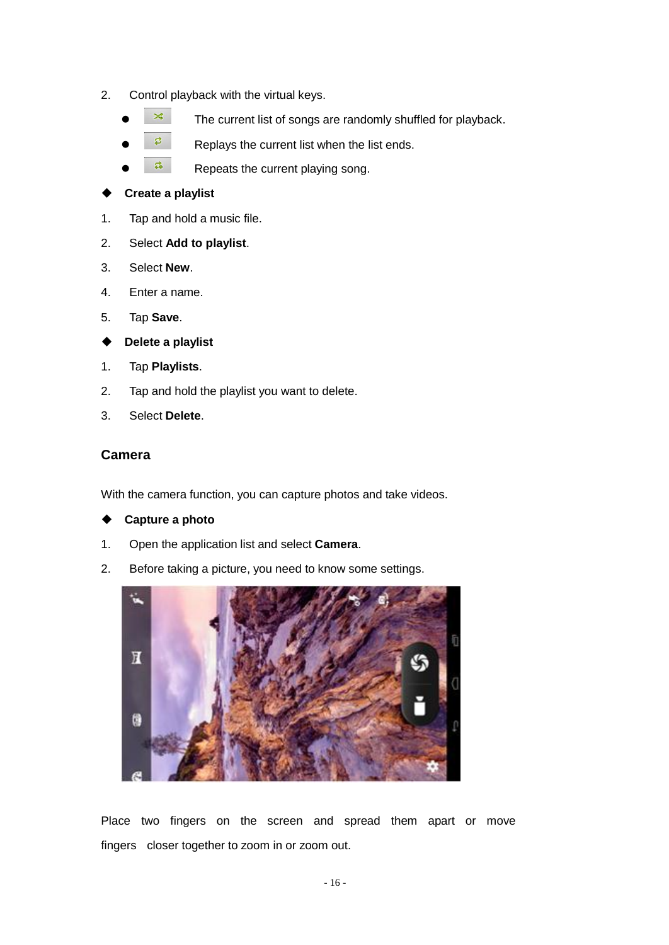- 2. Control playback with the virtual keys.
	- $\frac{1}{3}$  The current list of songs are randomly shuffled for playback.
	- $\overline{z}$  Replays the current list when the list ends.
	- $\frac{a}{r}$  Repeats the current playing song.

#### **Create a playlist**

- 1. Tap and hold a music file.
- 2. Select **Add to playlist**.
- 3. Select **New**.
- 4. Enter a name.
- 5. Tap **Save**.
- **Delete a playlist**
- 1. Tap **Playlists**.
- 2. Tap and hold the playlist you want to delete.
- 3. Select **Delete**.

### **Camera**

With the camera function, you can capture photos and take videos.

- **Capture a photo**
- 1. Open the application list and select **Camera**.
- 2. Before taking a picture, you need to know some settings.



Place two fingers on the screen and spread them apart or move fingers closer together to zoom in or zoom out.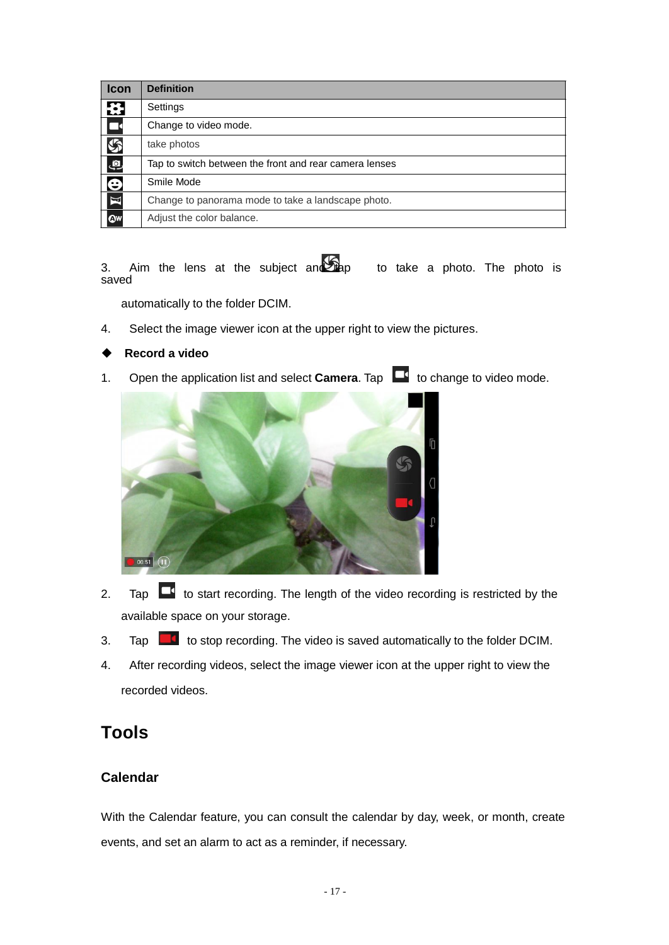| <b>Icon</b>             | <b>Definition</b>                                      |
|-------------------------|--------------------------------------------------------|
| ₩                       | Settings                                               |
| $\overline{\mathbf{L}}$ | Change to video mode.                                  |
| $\mathcal{G}$           | take photos                                            |
| இ                       | Tap to switch between the front and rear camera lenses |
| $\overline{\mathbf{e}}$ | Smile Mode                                             |
| $\overline{\mathbf{K}}$ | Change to panorama mode to take a landscape photo.     |
| QW                      | Adjust the color balance.                              |

3. Aim the lens at the subject and  $\sum_{i=1}^{\infty}$  to take a photo. The photo is saved

automatically to the folder DCIM.

4. Select the image viewer icon at the upper right to view the pictures.

#### **Record a video**

1. Open the application list and select **Camera**. Tap **the Commange to video mode.** 



- 2. Tap  $\Box$  to start recording. The length of the video recording is restricted by the available space on your storage.
- 3. Tap  $\Box$  to stop recording. The video is saved automatically to the folder DCIM.
- 4. After recording videos, select the image viewer icon at the upper right to view the recorded videos.

# **Tools**

# **Calendar**

With the Calendar feature, you can consult the calendar by day, week, or month, create events, and set an alarm to act as a reminder, if necessary.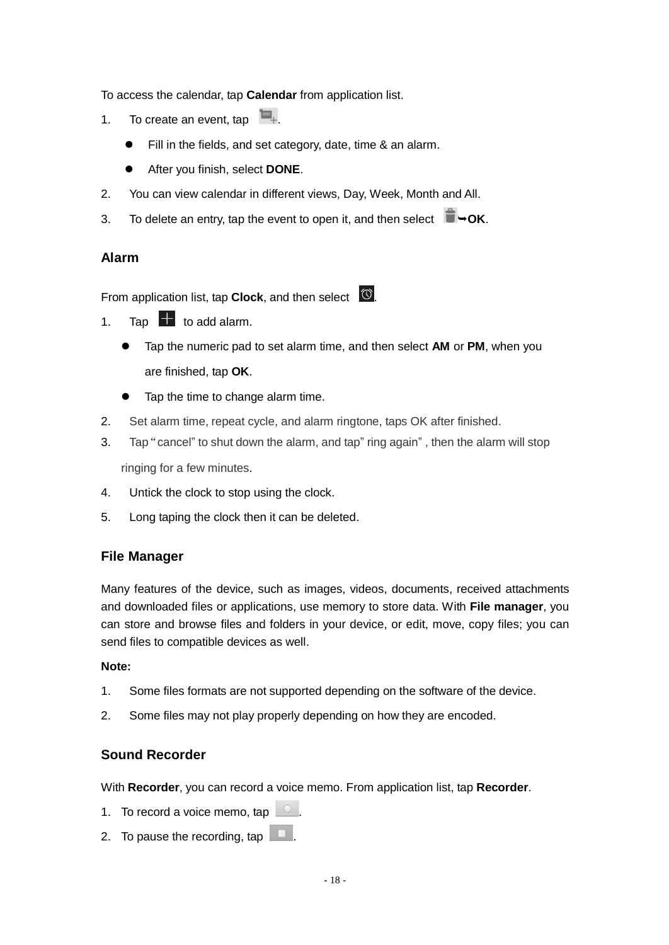To access the calendar, tap **Calendar** from application list.

- 1. To create an event, tap  $\blacksquare_+$ 
	- Fill in the fields, and set category, date, time & an alarm.
	- After you finish, select **DONE**.
- 2. You can view calendar in different views, Day, Week, Month and All.
- 3. To delete an entry, tap the event to open it, and then select  $\Box \rightarrow OK$ .

# **Alarm**

From application list, tap **Clock**, and then select  $\boxed{\circ}$ .

- 1. Tap  $\Box$  to add alarm.
	- Tap the numeric pad to set alarm time, and then select **AM** or **PM**, when you are finished, tap **OK**.
	- Tap the time to change alarm time.
- 2. Set alarm time, repeat cycle, and alarm ringtone, taps OK after finished.
- 3. Tap"cancel" to shut down the alarm, and tap" ring again" , then the alarm will stop ringing for a few minutes.
- 4. Untick the clock to stop using the clock.
- 5. Long taping the clock then it can be deleted.

# **File Manager**

Many features of the device, such as images, videos, documents, received attachments and downloaded files or applications, use memory to store data. With **File manager**, you can store and browse files and folders in your device, or edit, move, copy files; you can send files to compatible devices as well.

#### **Note:**

- 1. Some files formats are not supported depending on the software of the device.
- 2. Some files may not play properly depending on how they are encoded.

### **Sound Recorder**

With **Recorder**, you can record a voice memo. From application list, tap **Recorder**.

- 1. To record a voice memo, tap  $\Box$ .
- 2. To pause the recording, tap  $\Box$ .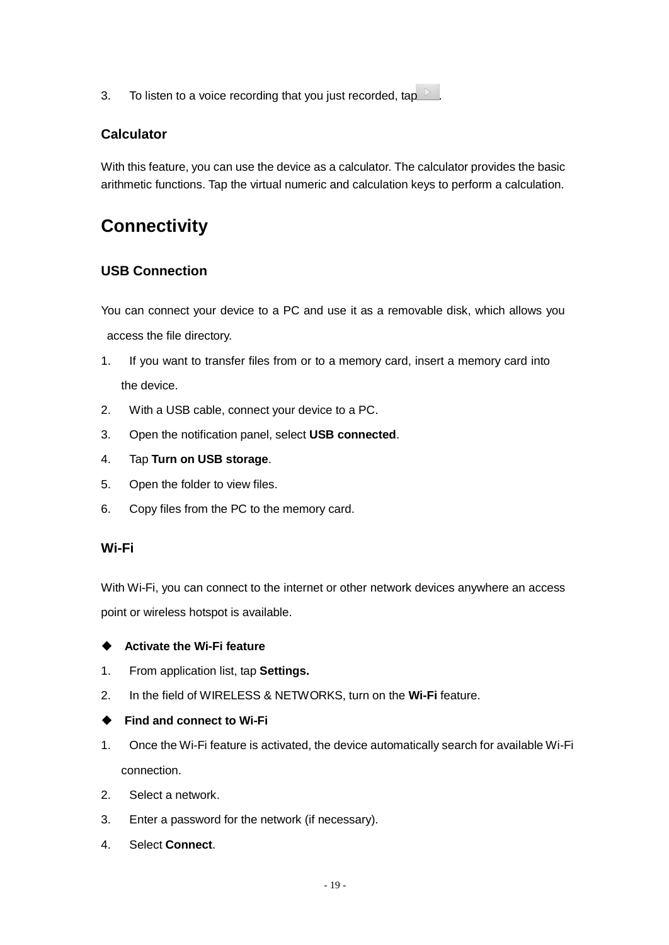3. To listen to a voice recording that you just recorded, tap  $\Box$ 

# **Calculator**

With this feature, you can use the device as a calculator. The calculator provides the basic arithmetic functions. Tap the virtual numeric and calculation keys to perform a calculation.

# **Connectivity**

# **USB Connection**

You can connect your device to a PC and use it as a removable disk, which allows you access the file directory.

- 1. If you want to transfer files from or to a memory card, insert a memory card into the device.
- 2. With a USB cable, connect your device to a PC.
- 3. Open the notification panel, select **USB connected**.
- 4. Tap **Turn on USB storage**.
- 5. Open the folder to view files.
- 6. Copy files from the PC to the memory card.

#### **Wi-Fi**

With Wi-Fi, you can connect to the internet or other network devices anywhere an access point or wireless hotspot is available.

#### **Activate the Wi-Fi feature**

- 1. From application list, tap **Settings.**
- 2. In the field of WIRELESS & NETWORKS, turn on the **Wi-Fi** feature.
- **Find and connect to Wi-Fi**
- 1. Once the Wi-Fi feature is activated, the device automatically search for available Wi-Fi connection.
- 2. Select a network.
- 3. Enter a password for the network (if necessary).
- 4. Select **Connect**.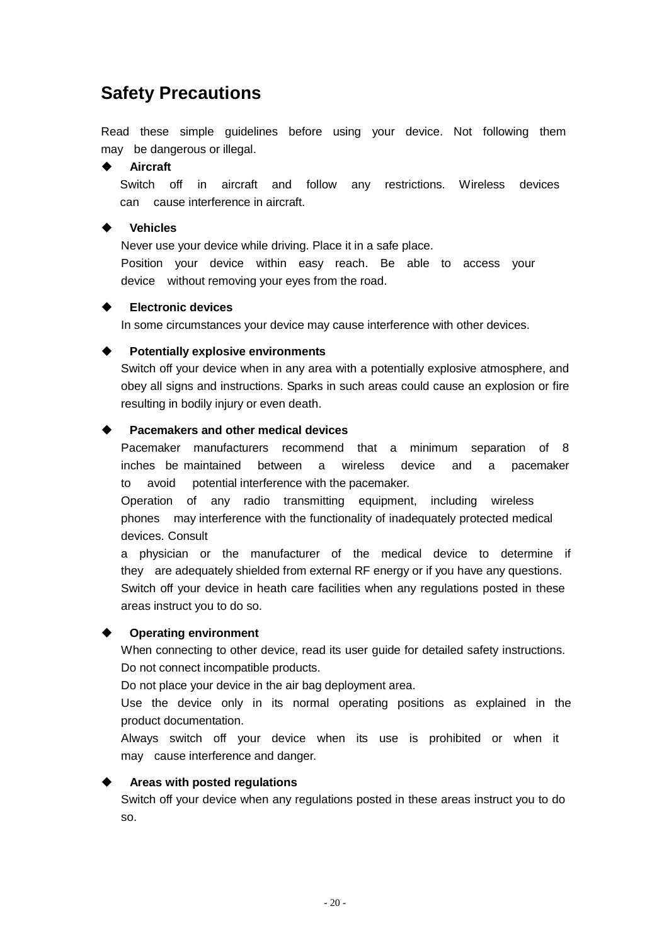# **Safety Precautions**

Read these simple guidelines before using your device. Not following them may be dangerous or illegal.

#### **Aircraft**

Switch off in aircraft and follow any restrictions. Wireless devices can cause interference in aircraft.

#### **Vehicles**

Never use your device while driving. Place it in a safe place.

Position your device within easy reach. Be able to access your device without removing your eyes from the road.

#### **Electronic devices**

In some circumstances your device may cause interference with other devices.

#### **Potentially explosive environments**

Switch off your device when in any area with a potentially explosive atmosphere, and obey all signs and instructions. Sparks in such areas could cause an explosion or fire resulting in bodily injury or even death.

#### **Pacemakers and other medical devices**

Pacemaker manufacturers recommend that a minimum separation of 8 inches be maintained between a wireless device and a pacemaker to avoid potential interference with the pacemaker.

Operation of any radio transmitting equipment, including wireless phones may interference with the functionality of inadequately protected medical devices. Consult

a physician or the manufacturer of the medical device to determine if they are adequately shielded from external RF energy or if you have any questions. Switch off your device in heath care facilities when any regulations posted in these areas instruct you to do so.

#### **Operating environment**

When connecting to other device, read its user guide for detailed safety instructions. Do not connect incompatible products.

Do not place your device in the air bag deployment area.

Use the device only in its normal operating positions as explained in the product documentation.

Always switch off your device when its use is prohibited or when it may cause interference and danger.

#### **Areas with posted regulations**

Switch off your device when any regulations posted in these areas instruct you to do so.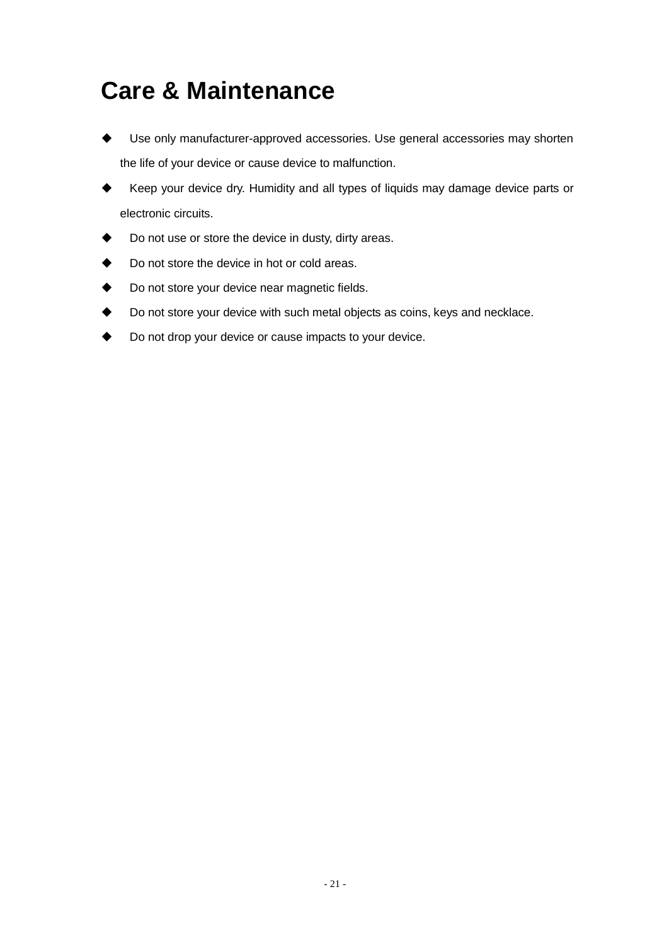# **Care & Maintenance**

- Use only manufacturer-approved accessories. Use general accessories may shorten the life of your device or cause device to malfunction.
- Keep your device dry. Humidity and all types of liquids may damage device parts or electronic circuits.
- ◆ Do not use or store the device in dusty, dirty areas.
- ◆ Do not store the device in hot or cold areas.
- ◆ Do not store your device near magnetic fields.
- Do not store your device with such metal objects as coins, keys and necklace.
- Do not drop your device or cause impacts to your device.